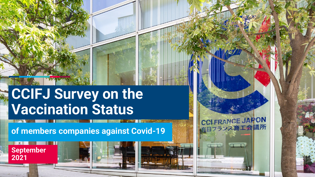# **CCIFJ Survey on the Vaccination Status**

**of members companies against Covid-19**

# **September 2021**



CCLFRANCE JAPON ランス商工会議所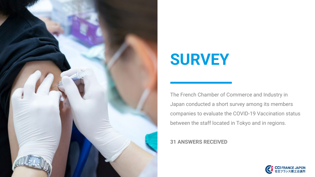

# **SURVEY**

The French Chamber of Commerce and Industry in Japan conducted a short survey among its members companies to evaluate the COVID-19 Vaccination status between the staff located in Tokyo and in regions.

#### **31 ANSWERS RECEIVED**

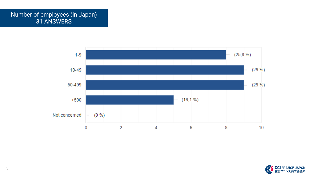# Number of employees (in Japan) 31 ANSWERS



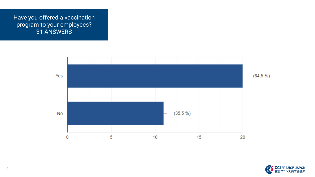Have you offered a vaccination program to your employees? 31 ANSWERS



**CCI FRANC** 在日フ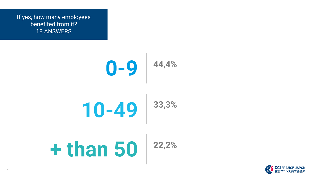If yes, how many employees benefited from it? 18 ANSWERS



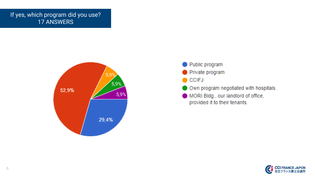## If yes, which program did you use? 17 ANSWERS



- Public program Private program **CCIFJ** Own program negotiated with hospitals.
- MORI Bldg., our landlord of office, provided it to their tenants.

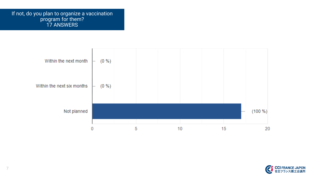If not, do you plan to organize a vaccination program for them? 17 ANSWERS





7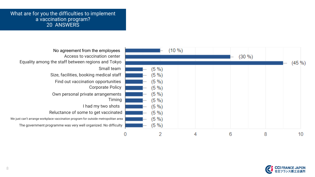#### What are for you the difficulties to implement a vaccination program? 20 ANSWERS

| No agreement from the employees<br>Access to vaccination center<br>Equality among the staff between regions and Tokyo                                                                                                                                                                                                                                                                       |                                                                                             | 10 %) |   | (30 %) |           |  |
|---------------------------------------------------------------------------------------------------------------------------------------------------------------------------------------------------------------------------------------------------------------------------------------------------------------------------------------------------------------------------------------------|---------------------------------------------------------------------------------------------|-------|---|--------|-----------|--|
| Small team<br>Size, facilities, booking medical staff<br>Find out vaccination opportunities<br><b>Corporate Policy</b><br>Own personal private arrangements<br>Timing<br>I had my two shots<br>Reluctance of some to get vaccinated<br>We just can't arrange workplace vaccination program for outside metropolitan area<br>The government programme was very well organized. No difficulty | (5 %)<br>(5 %)<br>(5 %)<br>(5 %)<br>$(5 \%)$<br>(5 %)<br>(5%)<br>(5 %)<br>$(5 \%)$<br>(5 %) |       |   |        | $(45\% )$ |  |
|                                                                                                                                                                                                                                                                                                                                                                                             |                                                                                             |       | հ |        | 8<br>10   |  |

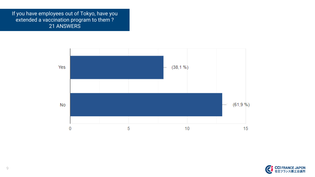If you have employees out of Tokyo, have you extended a vaccination program to them ? 21 ANSWERS